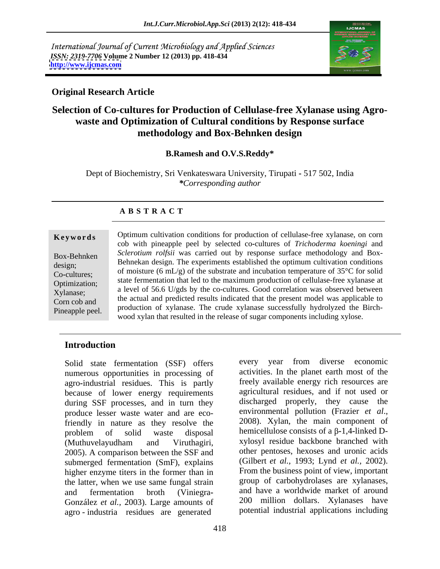International Journal of Current Microbiology and Applied Sciences *ISSN: 2319-7706* **Volume 2 Number 12 (2013) pp. 418-434 <http://www.ijcmas.com>**



## **Original Research Article**

## **Selection of Co-cultures for Production of Cellulase-free Xylanase using Agro waste and Optimization of Cultural conditions by Response surface methodology and Box-Behnken design**

## **B.Ramesh and O.V.S.Reddy\***

Dept of Biochemistry, Sri Venkateswara University, Tirupati **-** 517 502, India *\*Corresponding author* 

## **A B S T R A C T**

**Keywords** Optimum cultivation conditions for production of cellulase-free xylanase, on corn Box-Behnken *Sclerotium rolfsii* was carried out by response surface methodology and Box- EU DESIGNERS BEHNERA DESIGNERS ESTABLISHED THE EXPERIMENT BEHNERA DESIGN CONDUCTS BEHNERAL DESIGNS.  $\frac{1}{2}$  of moisture (6 mL/g) of the substrate and incubation temperature of 35<sup>o</sup>C for solid Co-cultures; Optimization; State refinemation that led to the maximum production of central se-free xylanase at Xylanase; a level of 56.6 U/gds by the co-cultures. Good correlation was observed between  $\frac{1}{2}$  corn cob and the actual and predicted results indicated that the present model was applicable to **Example 6** Optimum cultivation conditions for production of cellulase-free xylanase, on corn<br>
cob with pineapple peel by selected co-cultures of *Trichoderma koeningi* and<br>
Box-Behnken<br> *Sclerotium rolfsii* was carried ou cob with pineapple peel by selected co**-**cultures of *Trichoderma koeningi* and state fermentation that led to the maximum production of cellulase-free xylanase at production of xylanase. The crude xylanase successfully hydrolyzed the Birch wood xylan that resulted in the release of sugar components including xylose.

## **Introduction**

Solid state fermentation (SSF) offers numerous opportunities in processing of agro**-**industrial residues. This is partly because of lower energy requirements during SSF processes, and in turn they discharged properly, they cause the produce lesser waste water and are eco-<br>environmental pollution (Frazier *et al.*, produce lesser waste water and are eco-<br>friendly in nature as they resolve the 2008). Xylan, the main component of friendly in nature as they resolve the problem of solid waste disposal hemicellulose consists of a  $\beta$ -1,4-linked D-(Muthuvelayudham and Viruthagiri, *xylosyl* residue backbone branched with 2005). A comparison between the SSF and other pentoses, hexoses and uronic acids submerged fermentation (SmF), explains higher enzyme titers in the former than in the latter, when we use same fungal strain and fermentation broth (Viniegra**-** and have a worldwide market of around González *et al.,* 2003). Large amounts of agro - industria residues are generated

every year from diverse economic activities. In the planet earth most of the freely available energy rich resources are agricultural residues, and if not used or discharged properly, they cause the environmental pollution (Frazier *et al*., 2008). Xylan, the main component of hemicellulose consists of a β-1,4-linked Dxylosyl residue backbone branched with other pentoses, hexoses and uronic acids (Gilbert *et al.,* 1993; Lynd *et al.,* 2002). From the business point of view, important group of carbohydrolases are xylanases, 200 million dollars. Xylanases have potential industrial applications including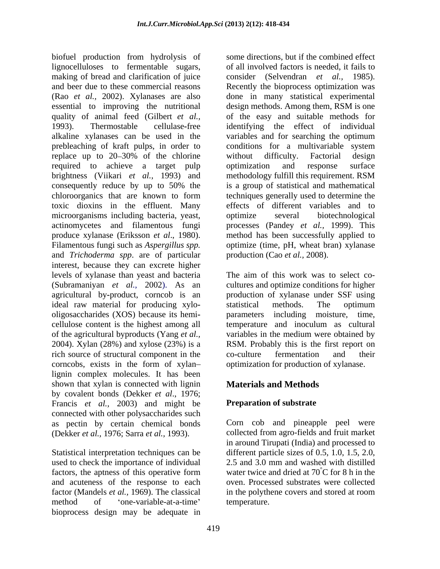biofuel production from hydrolysis of lignocelluloses to fermentable sugars, making of bread and clarification of juice consider (Selvendran *et al.*, 1985). and beer due to these commercial reasons Recently the bioprocess optimization was (Rao *et al.,* 2002). Xylanases are also done in many statistical experimental essential to improving the nutritional quality of animal feed (Gilbert *et al.,* of the easy and suitable methods for 1993). Thermostable cellulase**-**free identifying the effect of individual alkaline xylanases can be used in the prebleaching of kraft pulps, in order to replace up to 20–30% of the chlorine without difficulty. Factorial design required to achieve a target pulp optimization and response surface brightness (Viikari *et al.,* 1993) and methodology fulfill this requirement. RSM consequently reduce by up to 50% the chloroorganics that are known to form toxic dioxins in the effluent. Many effects of different variables and to microorganisms including bacteria, yeast, actinomycetes and filamentous fungi processes (Pandey *et al.,* 1999). This produce xylanase (Eriksson *et al.*, 1980). The method has been successfully applied to Filamentous fungi such as *Aspergillus spp.* The optimize (time, pH, wheat bran) xylanase and *Trichoderma spp*. are of particular interest, because they can excrete higher levels of xylanase than yeast and bacteria (Subramaniyan *et al.,* 2002). As an cultures and optimize conditions for higher agricultural by**-**product, corncob is an ideal raw material for producing xylo oligosaccharides (XOS) because its hemi**-** parameters including moisture, time, cellulose content is the highest among all of the agricultural byproducts (Yang *et al.,* variables in the medium were obtained by 2004). Xylan (28%) and xylose (23%) is a RSM. Probably this is the first report on rich source of structural component in the co-culture fermentation and their corncobs, exists in the form of xylan- optimization for production of xylanse. corncobs, exists in the form of xylan optimization for production of xylanase. lignin complex molecules. It has been shown that xylan is connected with lignin by covalent bonds (Dekker *et al*., 1976; Francis *et al.,* 2003) and might be connected with other polysaccharides such as pectin by certain chemical bonds Corn cob and pineapple peel were (Dekker *et al.,* 1976; Sarra *et al.,* 1993).

Statistical interpretation techniques can be different particle sizes of 0.5, 1.0, 1.5, 2.0, used to check the importance of individual factors, the aptness of this operative form and acuteness of the response to each factor (Mandels *et al.,* 1969). The classical in the polythene covers and stored at room method of 'one-variable-at-a-time' temperature. bioprocess design may be adequate in

some directions, but if the combined effect of all involved factors is needed, it fails to consider (Selvendran *et al.,* 1985). Recently the bioprocess optimization was design methods. Among them, RSM is one variables and for searching the optimum conditions for a multivariable system without difficulty. Factorial design optimization and response surface is a group of statistical and mathematical techniques generally used to determine the optimize several biotechnological method has been successfully applied to optimize (time, pH, wheat bran) xylanase production (Cao *et al.,* 2008).

The aim of this work was to select co production of xylanase under SSF using statistical methods. The optimum temperature and inoculum as cultural co**-**culture fermentation and their

# **Materials and Methods**

## **Preparation of substrate**

collected from agro-fields and fruit market in around Tirupati (India) and processed to 2.5 and 3.0 mm and washed with distilled water twice and dried at  $70^{\circ}$ C for 8 h in the oven. Processed substrates were collected temperature.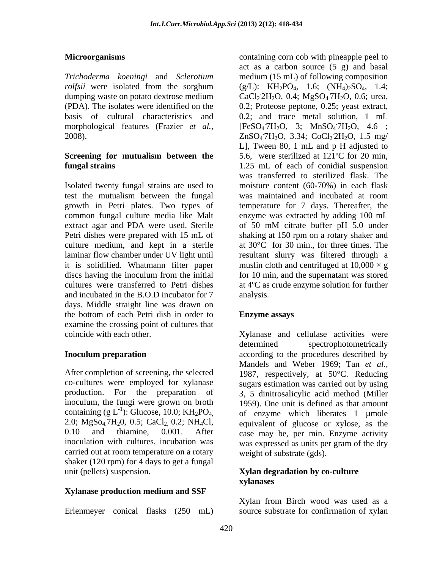morphological features (Frazier *et al.,*

Isolated twenty fungal strains are used to test the mutualism between the fungal extract agar and PDA were used. Sterile of 50 mM citrate buffer pH 5.0 under culture medium, and kept in a sterile and incubated in the B.O.D incubator for 7 days. Middle straight line was drawn on the bottom of each Petri dish in order to **Enzyme assays** examine the crossing point of cultures that coincide with each other. X**y**lanase and cellulase activities were

containing (g  $L^{-1}$ ): Glucose, 10.0; KH<sub>2</sub>PO<sub>4</sub> 2.0; MgSo<sub>4</sub>.7H<sub>2</sub>0, 0.5; CaCl<sub>2</sub> 0.2; NH<sub>4</sub>Cl, carried out at room temperature on a rotary shaker (120 rpm) for 4 days to get a fungal unit (pellets) suspension. **Xylan degradation by co-culture** 

## **Xylanase production medium and SSF**

Erlenmeyer conical flasks (250 mL)

**Microorganisms Microorganisms containing corn cob with pineapple peel to** *Trichoderma koeningi* and *Sclerotium* medium (15 mL) of following composition *rolfsii* were isolated from the sorghum  $(g/L)$ :  $KH_2PO_4$ , 1.6;  $(NH_4)_2SO_4$ , 1.4; dumping waste on potato dextrose medium  $CaCl<sub>2</sub> 2H<sub>2</sub>O$ , 0.4; MgSO<sub>4</sub><sup>-7H<sub>2</sub>O, 0.6; urea,</sup> (PDA). The isolates were identified on the 0.2; Proteose peptone, 0.25; yeast extract, basis of cultural characteristics and 0.2; and trace metal solution, 1 mL 2008).  $ZnSO_4$ <sup>7</sup>H<sub>2</sub>O, 3.34; CoCl<sub>2</sub> 2H<sub>2</sub>O, 1.5 mg/ **Screening for mutualism between the fungal strains** 1.25 mL of each of conidial suspension growth in Petri plates. Two types of temperature for 7 days. Thereafter, the common fungal culture media like Malt enzyme was extracted by adding 100 mL Petri dishes were prepared with 15 mL of shaking at 150 rpm on a rotary shaker and laminar flow chamber under UV light until resultant slurry was filtered through a it is solidified. Whatmann filter paper muslin cloth and centrifuged at  $10,000 \times g$ discs having the inoculum from the initial for 10 min, and the supernatant was stored cultures were transferred to Petri dishes at 4ºC as crude enzyme solution for further act as a carbon source (5 g) and basal  $[FeSO_47H_2O, 3; MnSO_47H_2O, 4.6;$ .7H2O, 4.6 ;  $2H_2O$ , 1.5 mg/ L], Tween 80, 1 mL and p H adjusted to 5.6, were sterilized at 121ºC for 20 min, was transferred to sterilized flask. The moisture content (60-70%) in each flask was maintained and incubated at room of 50 mM citrate buffer pH 5.0 under at 30°C for 30 min., for three times. The analysis.

## **Enzyme assays**

**Inoculum preparation** according to the procedures described by After completion of screening, the selected 1987, respectively, at 50°C. Reducing co-cultures were employed for xylanase sugars estimation was carried out by using production. For the preparation of 3, 5 dinitrosalicylic acid method (Miller inoculum, the fungi were grown on broth 1959). One unit is defined as that amount ): Glucose, 10.0;  $KH_2PO_4$ , of enzyme which liberates 1 µmole 0.10 and thiamine, 0.001. After case may be, per min. Enzyme activity inoculation with cultures, incubation was was expressed as units per gram of the dry determined spectrophotometrically Mandels and Weber 1969; Tan *et al.,* equivalent of glucose or xylose, as the weight of substrate (gds).

# **xylanases**

Xylan from Birch wood was used as a source substrate for confirmation of xylan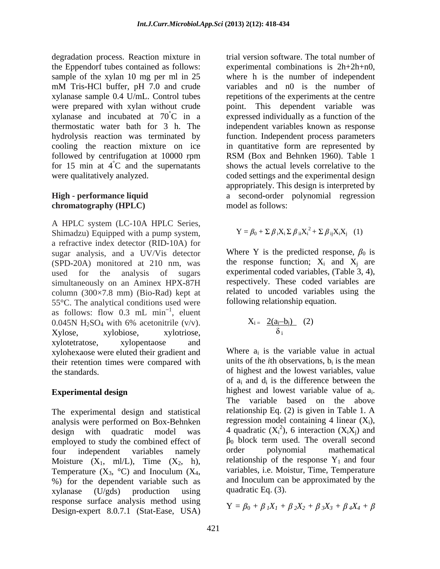degradation process. Reaction mixture in the Eppendorf tubes contained as follows: experimental combinations is 2h+2h+n0, sample of the xylan 10 mg per ml in 25 mM Tris**-**HCl buffer, pH 7.0 and crude xylanase sample 0.4 U/mL. Control tubes repetitions of the experiments at the centre were prepared with xylan without crude point. This dependent variable was xylanase and incubated at  $70^{\circ}$ C in a expressed individually as a function of the thermostatic water bath for 3 h. The independent variablesknown as response hydrolysis reaction was terminated by function. Independent process parameters cooling the reaction mixture on ice in quantitative form are represented by followed by centrifugation at 10000 rpm RSM (Box and Behnken 1960). Table 1 for 15 min at  $4^{\circ}$ C and the supernatants were qualitatively analyzed. coded settings and the experimental design

# **chromatography (HPLC)**

A HPLC system (LC-10A HPLC Series, Shimadzu) Equipped with a pump system, a refractive index detector (RID**-**10A) for sugar analysis, and a UV/Vis detector (SPD**-**20A) monitored at 210 nm, was used for the analysis of sugars experimental coded variables, (Table 3, 4), simultaneously on an Aminex HPX**-**87H column (300×7.8 mm) (Bio**-**Rad) kept at 55°C. The analytical conditions used were as follows: flow  $0.3$  mL min<sup>-1</sup>, eluent  $\frac{1}{1}$  olympt , eluent 0.045N H<sub>2</sub>SO<sub>4</sub> with 6% acetonitrile (v/v).  $X_i = 2(a_i - b_i)$  (2)  $Xylose,$  xylobiose, xylotriose,  $\delta_i$ xylotetratose, xylopentaose and xylohexaose were eluted their gradient and their retention times were compared with the standards. of highest and the lowest variables, value

The experimental design and statistical analysis were performed on Box-Behnken design with quadratic model was 4 quadratic  $(X_i^2)$ , 6 interaction  $(X_i X_j)$  and employed to study the combined effect of  $\beta_0$  block term used. The overall second four independent variables namely order polynomial mathematical four independent variables namely order polynomial mathematical Moisture  $(X_1, \text{ml/L})$ , Time  $(X_2, \text{h})$ , Temperature  $(X_3, {}^{\circ}C)$  and Inoculum  $(X_4, \text{h})$ Temperature  $(X_3, {}^{\circ}C)$  and Inoculum  $(X_4, \text{ variables, i.e. Moistur, Time, Temperature} )$ <br>% for the dependent variable such as and Inoculum can be approximated by the xylanase (U/gds) production using quadratic Eq. (3). response surface analysis method using Design**-**expert 8.0.7.1 (Stat**-**Ease, USA)

°C and the supernatants shows the actual levels correlative to the **High - performance liquid**  a second**-**order polynomial regression trial version software. The total number of where h is the number of independent variables and n0 is the number of RSM (Box and Behnken 1960). Table 1 appropriately. This design is interpreted by model as follows:

$$
\mathbf{Y} = \beta_0 + \Sigma \beta_i \mathbf{X}_i \Sigma \beta_{ii} \mathbf{X}_i^2 + \Sigma \beta_{ij} \mathbf{X}_i \mathbf{X}_j \quad (1)
$$

Where Y is the predicted response,  $\beta_0$  is the response function;  $X_i$  and  $X_j$  are respectively. These coded variables are related to uncoded variables using the following relationship equation.

$$
X_i = \frac{2(a_i - b_i)}{\delta_i} \quad (2)
$$

**Experimental design** highest and lowest variable value of  $a_i$ . Where  $a_i$  is the variable value in actual units of the *i*th observations,  $b_i$  is the mean is the mean of  $a_i$  and  $d_i$  is the difference between the highest and lowest variable value of  $a_i$ .<br>The variable based on the above relationship Eq. (2) is given in Table 1. A regression model containing 4 linear  $(X_i)$ , ), 6 interaction  $(X_i X_j)$  and  $_0$  block term used. The overall second order polynomial mathematical relationship of the response  $Y_1$  and four variables, i.e. Moistur, Time, Temperature and Inoculum can be approximated by the quadratic Eq. (3).

$$
Y = \beta_0 + \beta_1 X_1 + \beta_2 X_2 + \beta_3 X_3 + \beta_4 X_4 + \beta_5
$$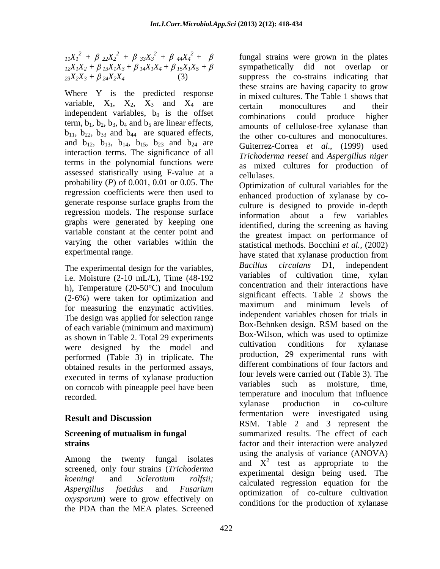$\int_1^1 (X_1^2 + \beta_{22} X_2^2 + \beta_{33} X_3^2 + \beta_{44} X_4^2 + \beta$  fungal strains were grown in the plates  $I_12X_1X_2 + \beta I_3X_1X_3 + \beta I_4X_1X_4 + \beta I_5X_1X_5 + \beta I_5X_2$ 

Where Y is the predicted response variable,  $X_1$ ,  $X_2$ ,  $X_3$  and  $X_4$  are certain monocultures and their independent variables,  $b_0$  is the offset combinations could produce higher term,  $b_1$ ,  $b_2$ ,  $b_3$ ,  $b_4$  and  $b_5$  are linear effects,  $b_{11}$ ,  $b_{22}$ ,  $b_{33}$  and  $b_{44}$  are squared effects, and  $b_{12}$ ,  $b_{13}$ ,  $b_{14}$ ,  $b_{15}$ ,  $b_{23}$  and  $b_{24}$  are interaction terms. The significance of all terms in the polynomial functions were assessed statistically using F-value at a cellulases. probability (*P*) of 0.001, 0.01 or 0.05. The regression coefficients were then used to regression models. The response surface information about a few variables graphs were generated by keeping one variable constant at the center point and varying the other variables within the

i.e. Moisture (2**-**10 mL/L), Time (48**-**192 h), Temperature (20**-**50°C) and Inoculum (2-6%) were taken for optimization and<br>for magaining the appropriate estimation of maximum and minimum levels of for measuring the enzymatic activities. The design was applied for selection range and movemum and movemum and movemum and movemum and movemum and movemum and movemum and movemum and movemum and movemum and movemum and movemum and movemum and movemum and movemum of each variable (minimum and maximum) as shown in Table 2. Total 29 experiments<br>were decised by the model and cultivation conditions for xylanase were designed by the model and performed (Table 3) in triplicate. The obtained results in the performed assays, executed in terms of xylanase production<br>on exercise were carried out (1able 3). The<br>variables such as moisture, time, on corncob with pineapple peel have been recorded.

screened, only four strains (*Trichoderma oxysporum*) were to grow effectively on the PDA than the MEA plates. Screened

 $2^2 + \beta_{33}X_3^2 + \beta_{44}X_4^2 + \beta$  fungal strains were grown in the plates  $23X_2X_3 + \beta 24X_2X_4$  (3) suppress the co-strains indicating that sympathetically did not overlap or these strains are having capacity to grow in mixed cultures. The Table 1 shows that certain monocultures and their combinations could produce higher amounts of cellulose-free xylanase than the other co**-**cultures and monocultures. Guiterrez**-**Correa *et al*., (1999) used *Trichoderma reesei* and *Aspergillus niger* as mixed cultures for production of cellulases.

generate response surface graphs from the culture is designed to provide in-depth experimental range.<br>
have stated that xylanase production from The experimental design for the variables,<br>  $Bacillus$  circulans D1, independent<br>
variables of cultivation time, xylan **Result and Discussion Result and Discussion Screening of mutualism in fungal** summarized results. The effect of each **strains** factor and their interaction were analyzed Among the twenty fungal isolates and  $X^2$  test as appropriate to the *koeningi* and *Sclerotium rolfsii; Aspergillus foetidus* and *Fusarium*  optimization of co**-**culture cultivation Optimization of cultural variables for the enhanced production of xylanase by co culture is designed to provide in-depth information about a few variables identified, during the screening as having the greatest impact on performance of statistical methods. Bocchini *et al.,* (2002) *Bacillus circulans* D1, independent variables of cultivation time, concentration and their interactions have significant effects. Table 2 shows the maximum and minimum levels of independent variables chosen for trials in Box**-**Behnken design. RSM based on the Box**-**Wilson, which was used to optimize cultivation conditions for xylanase production, 29 experimental runs with different combinations of four factors and four levels were carried out (Table 3). The variables such as moisture, time, temperature and inoculum that influence xylanase production in co**-**culture fermentation were investigated using RSM. Table 2 and 3 represent the using the analysis of variance (ANOVA) experimental design being used. The calculated regression equation for the conditions for the production of xylanase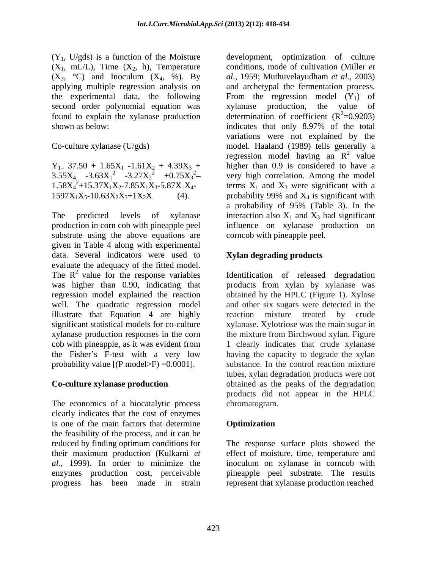$(X_1, mL/L)$ , Time  $(X_2, h)$ , Temperature  $(X_3, \text{°C})$  and Inoculum  $(X_4, \text{°6})$ . By al., 1959; Muthuvelayudham *et al.*, 2003) second order polynomial equation was xylanase production, the value of shown as below: indicates that only 8.97% of the total

The predicted levels of xylanase interaction also  $X_1$  and  $X_3$  had significant production in corn cob with pineapple peel influence on xylanase production on substrate using the above equations are given in Table 4 along with experimental data. Several indicators were used to evaluate the adequacy of the fitted model. The  $R^2$  value for the response variables Identification of released degradation was higher than 0.90, indicating that products from xylan by xylanase was regression model explained the reaction obtained by the HPLC (Figure 1). Xylose well. The quadratic regression model and other six sugars were detected in the illustrate that Equation 4 are highly reaction mixture treated by crude significant statistical models for co-culture xylanase. Xylotriose was the main sugar in xylanase production responses in the corn the mixture from Birchwood xylan. Figure cob with pineapple, as it was evident from 1 clearly indicates that crude xylanase the Fisher's F-test with a very low having the capacity to degrade the xylan probability value  $[(P \text{ model} > F) = 0.0001]$ .

The economics of a biocatalytic process clearly indicates that the cost of enzymes is one of the main factors that determine **Optimization** the feasibility of the process, and it can be reduced by finding optimum conditions for The response surface plots showed the their maximum production (Kulkarni *et al.,* 1999). In order to minimize the inoculum on xylanase in corncob with enzymes production cost, perceivable pineapple peel substrate. The results progress has been made in strain represent that xylanase production reached

 $(Y_1, U/gds)$  is a function of the Moisture development, optimization of culture applying multiple regression analysis on and archetypal the fermentation process. the experimental data, the following From the regression model  $(Y_1)$  of found to explain the xylanase production determination of coefficient  $(R^2=0.9203)$ Co**-**culture xylanase (U/gds) model. Haaland (1989) tells generally a  $Y_{1} = 37.50 + 1.65X_1 - 1.61X_2 + 4.39X_3 +$  higher than 0.9 is considered to have a  $3.55X_4$   $-3.63X_1^2$   $-3.27X_2^2$   $+0.75X_3^2$  very high correlation. Among the model  $1.58X_4^2 + 15.37X_1X_2 - 7.85X_1X_3 - 5.87X_1X_4$ - terms  $X_1$  and  $X_3$  were significant with a  $1597X_1X_5 - 10.63X_2X_3 + 1X_2X$  (4). probability 99% and  $X_4$  is significant with conditions, mode of cultivation (Miller *et al.,* 1959; Muthuvelayudham *et al.,* 2003) xylanase production, the value of  $2^2=0.9203$ ) indicates that only 8.97% of the total variations were not explained by the regression model having an  $\mathbb{R}^2$  value 2  $\omega$ value and the set of the set of the set of the set of the set of the set of the set of the set of the set of the set of the set of the set of the set of the set of the set of the set of the set of the set of the set of the probability 99% and  $X_4$  is significant with a probability of 95% (Table 3). In the corncob with pineapple peel.

# **Xylan degrading products**

value for the response variables Identification of released degradation **Co-culture xylanase production** obtained as the peaks of the degradation 1 clearly indicates that crude xylanase substance. In the control reaction mixture tubes, xylan degradation products were not products did not appear in the HPLC chromatogram.

# **Optimization**

effect of moisture, time, temperature and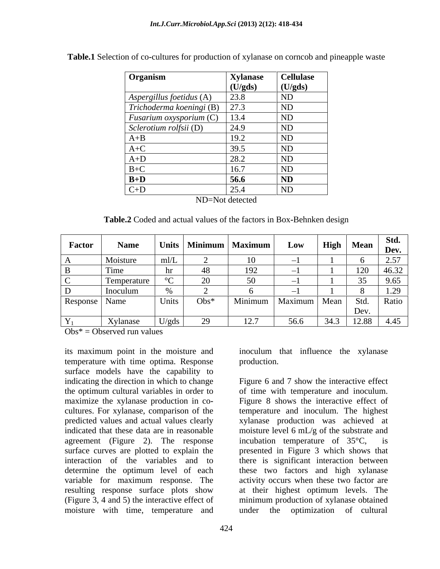| Organism                                      | <b>Xylanase</b> | <b>Cellulase</b>         |
|-----------------------------------------------|-----------------|--------------------------|
|                                               | (U/gds)         | $\bigcup$ (U/gds)        |
| Aspergillus foetidus (A)                      | 23.8            | <b>ND</b>                |
| $Trichoderma koeningi (B)$ 27.3               |                 | $\overline{\mathsf{ND}}$ |
| <i>Fusarium oxysporium</i> (C) $\boxed{13.4}$ |                 | $\overline{\mathsf{ND}}$ |
| Sclerotium rolfsii (D)                        | 24.9            | $\overline{\mathbf{N}}$  |
| $A+B$                                         | 19.2            | ND                       |
| A+C                                           | 39.5            | <b>ND</b>                |
| $A+D$                                         | 28.2            | <b>ND</b>                |
| $B+C$                                         | 16.7            | <b>ND</b>                |
| $B+D$                                         | 56.6            | <b>ND</b>                |
| $C+D$                                         | 25.4            | ND                       |
|                                               | $\mathbf{v}$    |                          |

**Table.1** Selection of co**-**cultures for production of xylanase on corncob and pineapple waste

ND=Not detected

**Table.2** Coded and actual values of the factors in Box**-**Behnken design

| <b>Factor</b>          | <b>Name</b>                 |              |                                | Units   Minimum   Maximum | Low            |      | $\mid$ High $\mid$ Mean $\mid$ Dev. | Std.  |
|------------------------|-----------------------------|--------------|--------------------------------|---------------------------|----------------|------|-------------------------------------|-------|
|                        | Moisture                    | $\mathbf{H}$ |                                |                           |                |      |                                     | 2.57  |
|                        | $\lceil \cdot \rceil$       |              |                                |                           |                |      | 120                                 | 46.32 |
|                        | Temperature                 |              |                                |                           |                |      |                                     | 9.65  |
| . D.                   | Inoculum                    |              |                                |                           |                |      |                                     |       |
| <b>Response</b>   Name |                             | Units        | $Obs^*$                        | Minimum                   | Maximum   Mean |      | $\parallel$ Std. Ratio              |       |
|                        |                             |              |                                |                           |                |      | Dev.                                |       |
|                        | $V_{V}$ lanese<br>AVIALIASC | )/gas        | ാറ<br>$\overline{\phantom{a}}$ | 12.7                      | 56.6           | 34.3 | $12.88$   $4.45$                    |       |

 $Obs^* = Observed$  run values

its maximum point in the moisture and inoculum that influence the xylanase temperature with time optima. Response production. surface models have the capability to cultures. For xylanase, comparison of the indicated that these data are in reasonable agreement (Figure 2). The response incubation temperature of  $35^{\circ}$ C, is resulting response surface plots show moisture with time, temperature and

production.

indicating the direction in which to change Figure 6 and 7 show the interactive effect the optimum cultural variables in order to of time with temperature and inoculum. maximize the xylanase production in co**-** Figure 8 shows the interactive effect of predicted values and actual values clearly xylanase production was achieved at surface curves are plotted to explain the presented in Figure 3 which shows that interaction of the variables and to there is significant interaction between determine the optimum level of each these two factors and high xylanase variable for maximum response. The activity occurs when these two factor are (Figure 3, 4 and 5) the interactive effect of minimum production of xylanase obtained temperature and inoculum. The highest moisture level 6 mL/g of the substrate and incubation temperature of  $35^{\circ}$ C, at their highest optimum levels. The under the optimization of cultural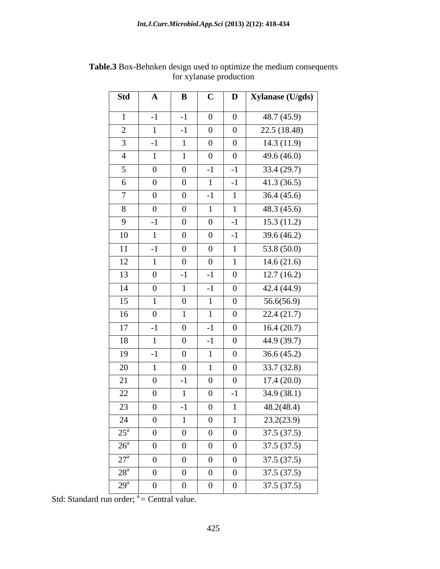| Std                             | $\mathbf{A}$                     | $\mathbf{B}$                     | $\mathbf C$                      | $\mathbf{D}$               | Xylanase (U/gds)         |
|---------------------------------|----------------------------------|----------------------------------|----------------------------------|----------------------------|--------------------------|
|                                 | $-1$                             | $-1$                             | $\overline{0}$                   | $\bf{0}$                   | 48.7 (45.9)              |
| 2                               |                                  | $-1$                             | $\overline{0}$                   |                            | 22.5 (18.48)             |
| $\overline{3}$                  | $\sim$                           |                                  | $\overline{0}$                   | $\overline{0}$             | 14.3(11.9)               |
| $\overline{4}$                  |                                  |                                  | $\overline{0}$                   | $\overline{0}$             | 49.6 (46.0)              |
| $5\overline{)}$                 | $\theta$                         | $\overline{0}$                   | $-1$                             | $-1$                       | 33.4(29.7)               |
| 6                               | $\overline{0}$                   | $\overline{0}$                   |                                  |                            | 41.3(36.5)               |
| $\overline{7}$                  | $\overline{0}$                   | $\overline{0}$                   | $-1$                             |                            | 36.4(45.6)               |
| 8                               | $\overline{0}$                   | $\overline{0}$                   |                                  |                            | 48.3 (45.6)              |
| 9                               | $-1$                             | $\overline{0}$                   | $\bf{0}$                         | $-1$                       | 15.3(11.2)               |
| 10                              |                                  | $\overline{0}$                   | $\bf{0}$                         | $-1$                       | $\overline{39.6}$ (46.2) |
| 11                              | $-1$                             | $\overline{0}$                   | $\bf{0}$                         |                            | 53.8 (50.0)              |
| 12                              |                                  | $\overline{0}$                   | $\bf{0}$                         |                            | 14.6(21.6)               |
| 13                              | $\overline{0}$                   | $-1$                             | $-1$                             | $\overline{0}$             | 12.7(16.2)               |
| 14                              | $\overline{0}$                   |                                  | $-1$                             | $\bf{0}$                   | 42.4 (44.9)              |
| 15                              |                                  | $\overline{0}$                   |                                  | $\overline{0}$             | 56.6(56.9)               |
| 16                              | $\theta$                         |                                  |                                  | $\overline{0}$             | 22.4(21.7)               |
| 17                              | $\sim$ $-$                       | $\overline{0}$                   | $-1$                             | $\overline{0}$             | 16.4(20.7)               |
| 18                              |                                  | $\overline{0}$                   | $-1$                             | $\overline{0}$             | 44.9 (39.7)              |
| 19                              | $\sim$                           | $\overline{0}$                   |                                  | $\overline{0}$             | 36.6(45.2)               |
| 20                              |                                  | $\overline{0}$                   |                                  | $\overline{0}$             | 33.7(32.8)               |
| 21                              | $\Omega$                         | $-1$                             | $\overline{0}$                   | $\overline{0}$             | 17.4(20.0)               |
| 22                              |                                  |                                  | $\overline{0}$                   |                            | 34.9 (38.1)              |
| 23                              | $\overline{0}$                   | $-1$                             | $\overline{0}$                   |                            | 48.2(48.4)               |
| 24                              | $\overline{0}$                   |                                  | $\bf{0}$                         |                            | 23.2(23.9)               |
| $25^{\circ}$                    | $\vert 0 \vert$                  | $\overline{0}$                   | $\overline{0}$                   | $\overline{0}$             | 37.5(37.5)               |
| $26^{\circ}$                    | $\overline{0}$                   | $\overline{0}$                   | $\overline{0}$                   | $\overline{0}$             | 37.5(37.5)               |
| 27 <sup>a</sup><br>$28^{\rm a}$ | $\overline{0}$                   | $\overline{0}$                   | $\overline{0}$                   | $\overline{0}$             | 37.5(37.5)               |
| 29 <sup>a</sup>                 | $\overline{0}$<br>$\overline{0}$ | $\overline{0}$<br>$\overline{0}$ | $\overline{0}$<br>$\overline{0}$ | $\overline{0}$<br>$\bf{0}$ | 37.5(37.5)<br>37.5(37.5) |

**Table.3** Box-Behnken design used to optimize the medium consequents for xylanase production

Std: Standard run order;  $a =$ Central value.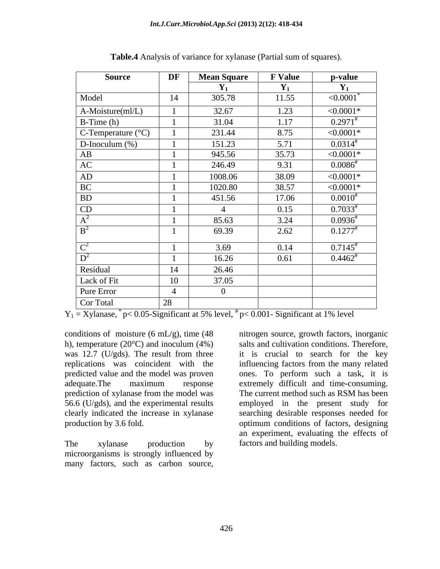| <b>Source</b>               | DF             | <b>Mean Square</b> | <b>F</b> Value | p-value                    |
|-----------------------------|----------------|--------------------|----------------|----------------------------|
|                             |                | $Y_1$              | $\mathbf{Y}_1$ | $Y_1$                      |
| Model                       | 14             | 305.78             | 11.55          | $\leq 0.0001$ <sup>*</sup> |
| A-Moisture(ml/L)            |                | 32.67              | 1.23           | ${<}0.0001*$               |
| $B$ -Time (h)               |                | 31.04              | 1.17           | $0.2971^{*}$               |
| C-Temperature $(^{\circ}C)$ |                | 231.44             | 8.75           | ${<}0.0001*$               |
| D-Inoculum $(\%)$           |                | 151.23             | 5.71           | $0.0314^{*}$               |
| AB                          |                | 945.56             | 35.73          | ${<}0.0001*$               |
| AC                          |                | 246.49             | 9.31           | $0.0086^{*}$               |
| AD                          |                | 1008.06            | 38.09          | $< 0.0001*$                |
| BC                          |                | 1020.80            | 38.57          | $< 0.0001*$                |
| <b>BD</b>                   |                | 451.56             | 17.06          | $0.0010^{#}$               |
| CD                          |                | $\overline{A}$     | 0.15           | $0.7033^{*}$               |
| $A^2$                       |                | 85.63              | 3.24           | $0.0936^{*}$               |
| B <sup>2</sup>              |                | 69.39              | 2.62           | $0.1277$ <sup>#</sup>      |
| $C^2$                       |                | 3.69               | 0.14           | $0.7145^{\text{*}}$        |
| $D^2$                       |                | 16.26              | 0.61           | $0.4462^*$                 |
| Residual                    | 14             | 26.46              |                |                            |
| Lack of Fit                 | 10             | 37.05              |                |                            |
| <b>Pure Error</b>           | $\overline{4}$ | $\overline{0}$     |                |                            |
|                             |                |                    |                |                            |
| Cor Total                   | 28             |                    |                |                            |

**Table.4** Analysis of variance for xylanase (Partial sum of squares).

 $Y_1 = X$ ylanase,  $*$  p< 0.05-Significant at 5% level,  $*$  p< 0.001-Significant at 1% level

conditions of moisture  $(6 \text{ mL/g})$ , time  $(48 \text{ mi} \cdot \text{m} \cdot \text{m} \cdot \text{m} \cdot \text{m} \cdot \text{m} \cdot \text{m} \cdot \text{m} \cdot \text{m} \cdot \text{m} \cdot \text{m} \cdot \text{m} \cdot \text{m} \cdot \text{m} \cdot \text{m} \cdot \text{m} \cdot \text{m} \cdot \text{m} \cdot \text{m} \cdot \text{m} \cdot \text{m} \cdot \text{m} \cdot \text{m} \cdot \text{m} \cdot \text{m} \cdot \text$ prediction of xylanase from the model was

The xylanase production by factors and building models. microorganisms is strongly influenced by

h), temperature (20°C) and inoculum (4%) salts and cultivation conditions. Therefore, was 12.7 (U/gds). The result from three it is crucial to search for the key replications was coincident with the influencing factors from the many related predicted value and the model was proven ones. To perform such a task, it is adequate.The maximum response extremely difficult and time**-**consuming. 56.6 (U/gds), and the experimental results employed in the present study for clearly indicated the increase in xylanase searching desirable responses needed for production by 3.6 fold. optimum conditions of factors, designing conditions of moisture (6 mL/g), time (48 introgen source, growth factors, inorganic<br>
th), temperature (20°C) and inoculum (4%) salts and cultivation conditions. Therefore,<br>
was 12.7 (U/gds). The result from thre influenci The current method such as RSM has been an experiment, evaluating the effects of factors and building models.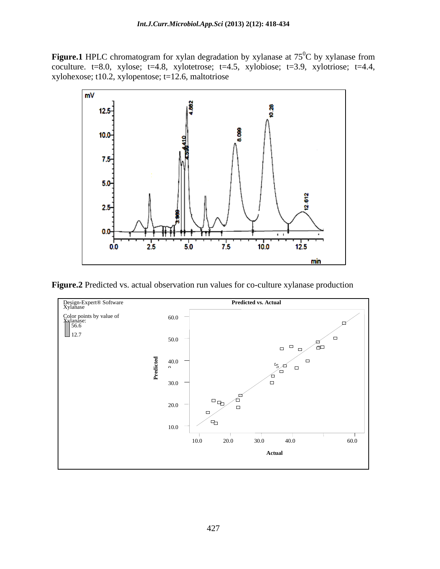Figure.1 HPLC chromatogram for xylan degradation by xylanase at 75<sup>°</sup>C by xylanase from  ${}^{0}C$  by xylanase from coculture.  $t=8.0$ , xylose;  $t=4.8$ , xylotetrose;  $t=4.5$ , xylotiose;  $t=3.9$ , xylotriose;  $t=4.4$ , xylohexose;  $t10.2$ , xylopentose;  $t=12.6$ , maltotriose



**Figure.2** Predicted vs. actual observation run values for co-culture xylanase production

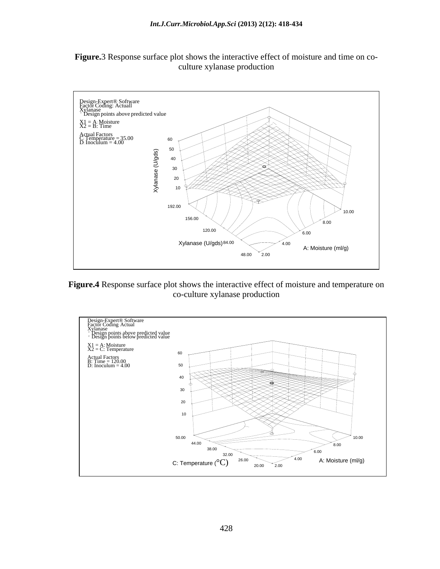



**Figure.4** Response surface plot shows the interactive effect of moisture and temperature on co-culture xylanase production

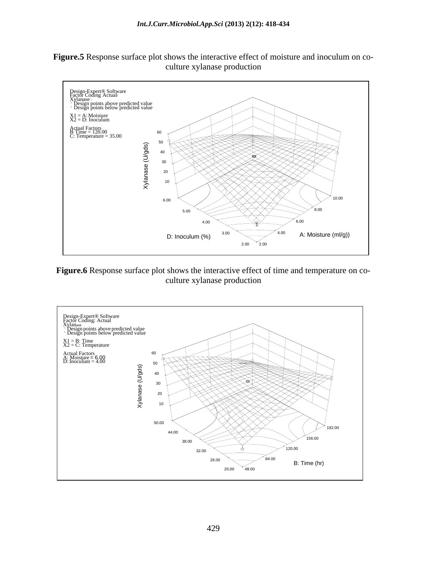**Figure.5** Response surface plot shows the interactive effect of moisture and inoculum on co culture xylanase production



**Figure.6** Response surface plot shows the interactive effect of time and temperature on co culture xylanase production

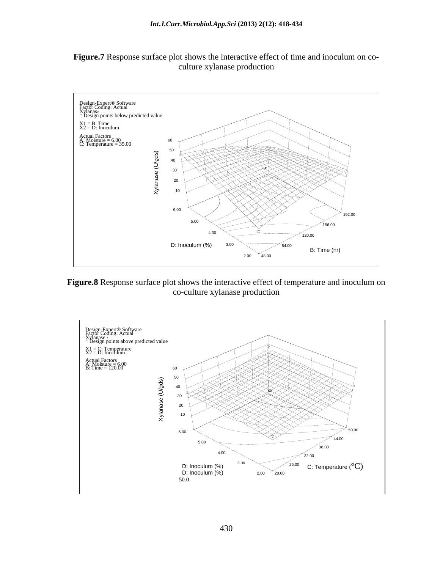



**Figure.8** Response surface plot shows the interactive effect of temperature and inoculum on co-culture xylanase production

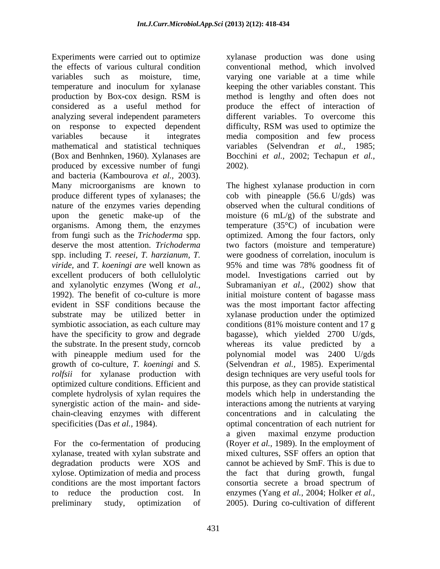Experiments were carried out to optimize xylanase production was done using the effects of various cultural condition conventional method, which involved variables such as moisture, time, varying one variable at a time while temperature and inoculum for xylanase keeping the other variables constant. This production by Box**-**cox design. RSM is considered as a useful method for produce the effect of interaction of analyzing several independent parameters different variables.To overcome this on response to expected dependent difficulty, RSM was used to optimize the variables because it integrates media composition and few process mathematical and statistical techniques variables (Selvendran *et al.,* 1985; (Box and Benhnken, 1960). Xylanases are Bocchini *et al.,* 2002; Techapun *et al.,* produced by excessive number of fungi 2002). and bacteria (Kambourova *et al.,* 2003). Many microorganisms are known to The highest xylanase production in corn produce different types of xylanases; the cob with pineapple (56.6 U/gds) was produce different types of xylanases; the cob with pineapple (56.6 U/gds) was nature of the enzymes varies depending observed when the cultural conditions of upon the genetic make-up of the moisture (6 mL/g) of the substrate and organisms. Among them, the enzymes temperature (35°C) of incubation were from fungi such as the *Trichoderma* spp. optimized. Among the four factors, only deserve the most attention. *Trichoderma*  two factors (moisture and temperature) spp. including *T. reesei, T. harzianum, T.*  were goodness of correlation, inoculum is *viride,* and *T. koeningi are* well known as excellent producers of both cellulolytic model. Investigations carried out by and xylanolytic enzymes (Wong *et al.,* Subramaniyan *et al.,* (2002) show that 1992). The benefit of co**-**culture is more initial moisture content of bagasse mass evident in SSF conditions because the was the most important factor affecting substrate may be utilized better in symbiotic association, as each culture may conditions (81% moisture content and 17 g have the specificity to grow and degrade bagasse), which yielded 2700 U/gds, the substrate. In the present study, corncob whereas its value predicted by a with pineapple medium used for the growth of co**-**culture, *T. koeningi* and *S.* (Selvendran *et al.,* 1985). Experimental *rolfsii* for xylanase production with design techniques are very useful tools for optimized culture conditions. Efficient and this purpose, as they can provide statistical complete hydrolysis of xylan requires the models which help in understanding the synergistic action of the main**-** and side- interactions among the nutrients at varying chain**-**cleaving enzymes with different concentrations and in calculating the

xylanase, treated with xylan substrate and xylose. Optimization of media and process conditions are the most important factors consortia secrete a broad spectrum of preliminary study, optimization of 2005). During co**-**cultivation of different

method is lengthy and often does not

specificities (Das *et al.*, 1984). **For the co-fermentation of producing** a given maximal enzyme production<br>For the co-fermentation of producing (Royer *et al.*, 1989). In the employment of degradation products were XOS and cannot be achieved by SmF. This is due to to reduce the production cost. In enzymes (Yang *et al.,* 2004; Holker *et al.,*2002). The highest xylanase production in corn 95% and time was 78% goodness fit of xylanase production under the optimized bagasse), which yielded <sup>2700</sup> U/gds, whereas its value predicted by <sup>a</sup> polynomial model was 2400 U/gds optimal concentration of each nutrient for a given maximal enzyme production (Royer *et al.,* 1989). In the employment of mixed cultures, SSF offers an option that the fact that during growth, fungal consortia secrete a broad spectrum of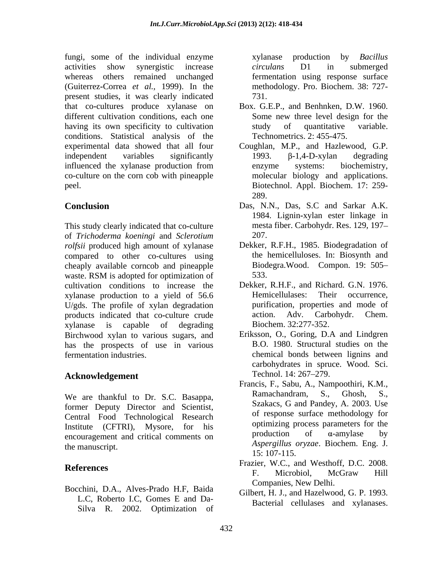fungi, some of the individual enzyme exylantic express production by *Bacillus* activities show synergistic increase *circulans* D1 in submerged whereas others remained unchanged fermentation using response surface (Guiterrez**-**Correa *et al.,* 1999). In the present studies, it was clearly indicated that co**-**cultures produce xylanase on different cultivation conditions, each one having its own specificity to cultivation study of quantitative variable. conditions. Statistical analysis of the experimental data showed that all four Coughlan, M.P., and Hazlewood, G.P. independent variables significantly  $1993. \beta -1,4-D-xy \text{lan}$  degrading influenced the xylanase production from enzyme systems: biochemistry, co-culture on the corn cob with pineapple peel. Biotechnol. Appl. Biochem. 17: 259-

This study clearly indicated that co**-**culture of *Trichoderma koeningi* and *Sclerotium rolfsii* produced high amount of xylanase Dekker, R.F.H., 1985. Biodegradation of compared to other co-cultures using cheaply available corncob and pineapple waste. RSM is adopted for optimization of 533. cultivation conditions to increase the Dekker, R.H.F., and Richard. G.N. 1976. xylanase production to a yield of 56.6 Hemicellulases: Their occurrence, U/gds. The profile of xylan degradation products indicated that co**-**culture crude xylanase is capable of degrading Birchwood xylan to various sugars, and has the prospects of use in various

former Deputy Director and Scientist, Central Food Technological Research Institute (CFTRI), Mysore, for his optimizing process parameters for the production of  $\alpha$ -amylase by encouragement and critical comments on

Bocchini, D.A., Alves-Prado H.F, Baida L.C, Roberto I.C, Gomes E and Da- Silva R. 2002. Optimization of xylanase production by *Bacillus circulans* D1 in submerged methodology. Pro. Biochem. 38: 727- 731.

- Box. G.E.P., and Benhnken, D.W. 1960. Some new three level design for the study of quantitative variable. Technometrics. 2: 455-475.
- 1993.  $\beta$ -1,4-D-xylan degrading enzyme systems: biochemistry, molecular biology and applications. 289.
- **Conclusion** Das, N.N., Das, S.C and Sarkar A.K. 1984. Lignin**-**xylan ester linkage in mesta fiber. Carbohydr. Res. 129, 197 207.
	- the hemicelluloses. In: Biosynth and Biodegra.Wood. Compon. 19: 505 533.
	- Hemicellulases: Their occurrence, purification, properties and mode of action. Adv. Carbohydr. Chem. Biochem. 32:277-352.
- fermentation industries. chemical bonds between lignins and Acknowledgement Technol. 14: 267–279. Eriksson, O., Goring, D.A and Lindgren B.O. 1980. Structural studies on the carbohydrates in spruce. Wood. Sci. Technol. 14: 267–279.
- We are thankful to Dr. S.C. Basappa, Ramachandram, S., Ghosh, S., the manuscript. *Aspergillus oryzae*. Biochem. Eng. J. Francis, F., Sabu, A., Nampoothiri, K.M., Szakacs, G and Pandey, A. 2003. Use of response surface methodology for optimizing process parameters for the production of  $\alpha$ -amylase by 15: 107-115.
- References Figure 11azier, w.c., and westhold, D.C. 2006. Frazier, W.C., and Westhoff, D.C. 2008. F. Microbiol, McGraw Hill Companies, New Delhi.
	- Gilbert, H. J., and Hazelwood, G. P. 1993. Bacterial cellulases and xylanases.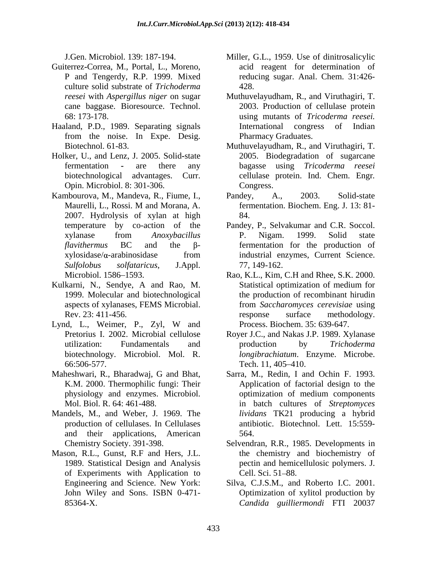- Guiterrez**-**Correa, M., Portal, L., Moreno, culture solid substrate of *Trichoderma*  cane baggase. Bioresource. Technol.
- Haaland, P.D., 1989. Separating signals from the noise. In Expe. Desig.
- Holker, U., and Lenz, J. 2005. Solid**-**state Opin. Microbiol. 8: 301-306.
- Kambourova, M., Mandeva, R., Fiume, I., Pandey, A., 2003. Solid-state<br>Maurelli, L., Rossi. M and Morana, A. fermentation. Biochem. Eng. J. 13: 81-2007. Hydrolysis of xylan at high *Sulfolobus solfataricus*, J.Appl. 77, 149-162.<br>Microbiol. 1586–1593. **Microbiol. 1586–1593.** Rao, K.L., Kim, C.H and Rhee, S.K. 2000.
- Kulkarni, N., Sendye, A and Rao, M. 1999. Molecular and biotechnological
- Lynd, L., Weimer, P., Zyl, W and Process. Biochem. 35: 639-647. 66:506-577. Tech. 11, 405–410.
- Maheshwari, R., Bharadwaj, G and Bhat,
- Mandels, M., and Weber, J. 1969. The and their applications, American
- Mason, R.L., Gunst, R.F and Hers, J.L. of Experiments with Application to Cell. Sci. 51–88. John Wiley and Sons. ISBN 0-471-
- J.Gen. Microbiol. 139: 187-194. Miller, G.L., 1959. Use of dinitrosalicylic P and Tengerdy, R.P. 1999. Mixed reducing sugar. Anal. Chem. 31:426 acid reagent for determination of 428.
- *reesei* with *Aspergillus niger* on sugar Muthuvelayudham, R., and Viruthagiri, T. 68: 173-178. using mutants of *Tricoderma reesei.* 2003. Production of cellulase protein International congress of Indian Pharmacy Graduates.
- Biotechnol. 61-83. Muthuvelayudham, R., and Viruthagiri, T. fermentation **-** are there any bagasse using *Tricoderma reesei* biotechnological advantages. Curr. cellulase protein. Ind. Chem. Engr*.* 2005. Biodegradation of sugarcane Congress.
	- Pandey, A., 2003. Solid**-**state fermentation. Biochem. Eng. J. 13: 81- 84.
- temperature by co-action of the Pandey, P., Selvakumar and C.R. Soccol. xylanase from *Anoxybacillus*   $$ xylosidase/a-arabinosidase from industrial enzymes, Current Science. P. Nigam. 1999. Solid state industrial enzymes, Current Science. 77, 149-162.
- aspects of xylanases, FEMS Microbial. from *Saccharomyces cerevisiae* using Rev. 23: 411-456. response surface methodology. Rao, K.L., Kim, C.H and Rhee, S.K. 2000. Statistical optimization of medium for the production of recombinant hirudin response surface methodology. Process. Biochem. 35: 639-647.
- Pretorius I. 2002. Microbial cellulose Royer J.C., and Nakas J.P. 1989. Xylanase utilization: Fundamentals and production by *Trichoderma* biotechnology. Microbiol. Mol. R. *longibrachiatum*. Enzyme. Microbe. production by *Trichoderma*  Tech.  $11,405-410$ .
- K.M. 2000. Thermophilic fungi: Their Application of factorial design to the physiology and enzymes. Microbiol. Mol. Biol. R. 64: 461-488. in batch cultures of *Streptomyces*  production of cellulases. In Cellulases antibiotic. Biotechnol. Lett. 15:559- Sarra, M., Redin, I and Ochin F. 1993. optimization of medium components *lividans* TK21 producing a hybrid 564.
- Chemistry Society. 391-398. Selvendran, R.R., 1985. Developments in 1989. Statistical Design and Analysis pectin and hemicellulosic polymers. J. the chemistry and biochemistry of Cell. Sci.  $51 - 88$ .
- Engineering and Science. New York: Silva, C.J.S.M., and Roberto I.C. 2001. 85364-X. *Candida guilliermondi* FTI 20037Optimization of xylitol production by